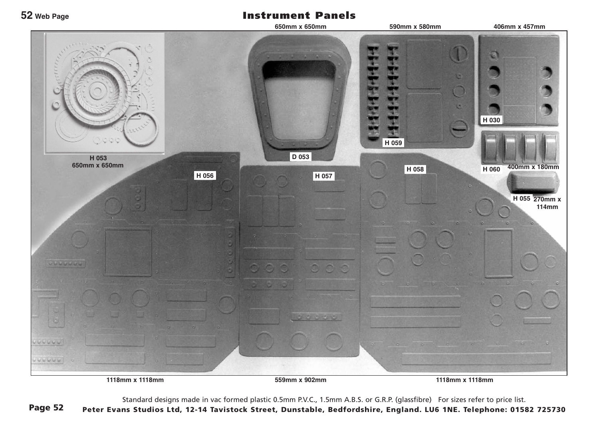## Instrument Panels

**52 Web Page**



Standard designs made in vac formed plastic 0.5mm P.V.C., 1.5mm A.B.S. or G.R.P. (glassfibre) For sizes refer to price list.

Page 52 Peter Evans Studios Ltd, 12-14 Tavistock Street, Dunstable, Bedfordshire, England. LU6 1NE. Telephone: 01582 725730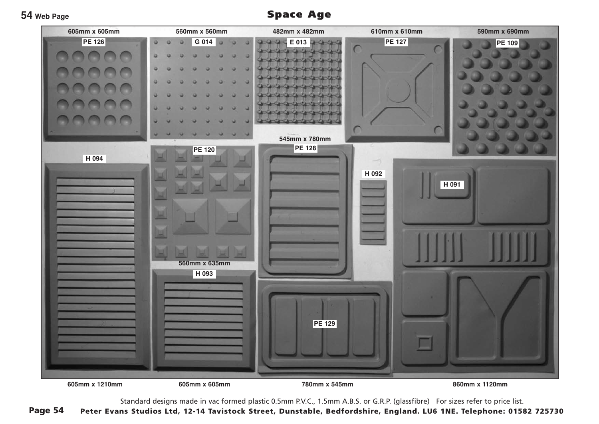**54 Web Page**

Space Age



Standard designs made in vac formed plastic 0.5mm P.V.C., 1.5mm A.B.S. or G.R.P. (glassfibre) For sizes refer to price list.

Page 54 Peter Evans Studios Ltd, 12-14 Tavistock Street, Dunstable, Bedfordshire, England. LU6 1NE. Telephone: 01582 725730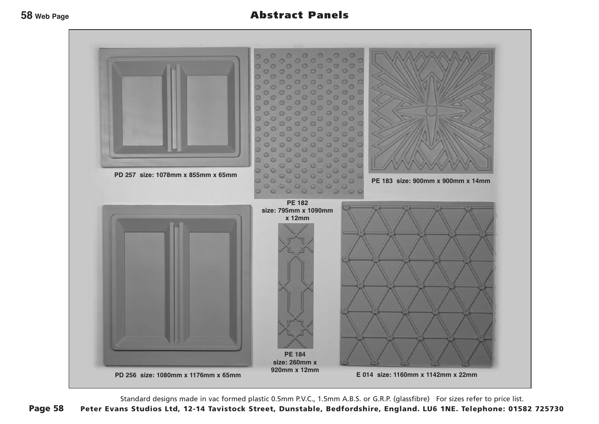

Standard designs made in vac formed plastic 0.5mm P.V.C., 1.5mm A.B.S. or G.R.P. (glassfibre) For sizes refer to price list.